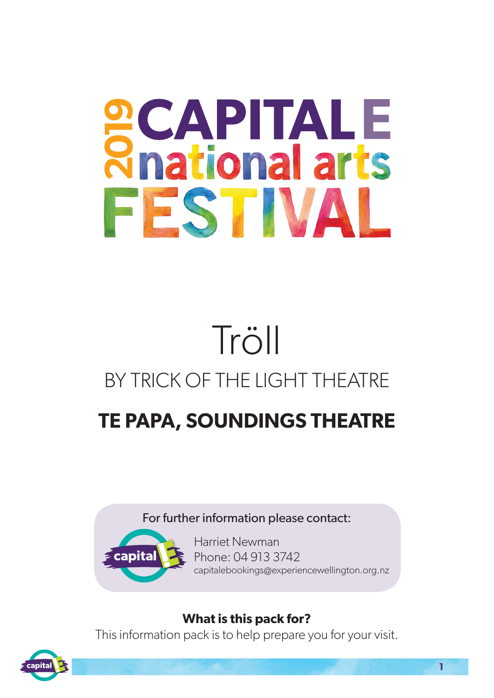# **SCAPITALE**<br>Rhational arts FESTIVAL

## Tröll BY TRICK OF THE LIGHT THEATRE

### **TE PAPA, SOUNDINGS THEATRE**

#### For further information please contact:



Harriet Newman Phone: 04 913 3742 capitalebookings@experiencewellington.org.nz

#### **What is this pack for?**

This information pack is to help prepare you for your visit.

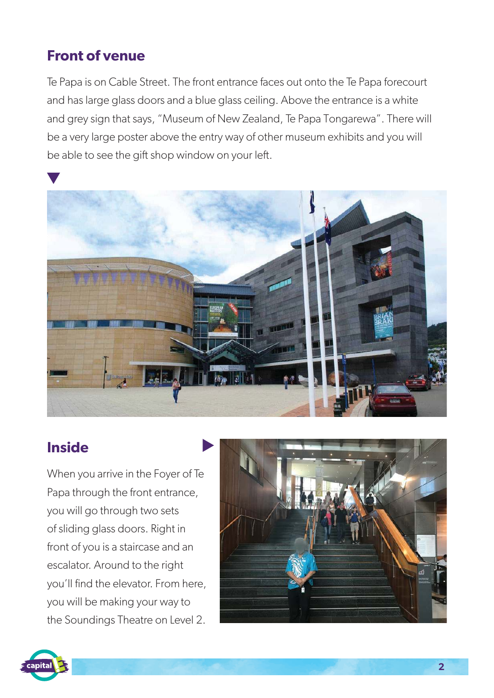#### **Front of venue**

Te Papa is on Cable Street. The front entrance faces out onto the Te Papa forecourt and has large glass doors and a blue glass ceiling. Above the entrance is a white and grey sign that says, "Museum of New Zealand, Te Papa Tongarewa". There will be a very large poster above the entry way of other museum exhibits and you will be able to see the gift shop window on your left.



#### **Inside**

When you arrive in the Foyer of Te Papa through the front entrance, you will go through two sets of sliding glass doors. Right in front of you is a staircase and an escalator. Around to the right you'll find the elevator. From here, you will be making your way to the Soundings Theatre on Level 2.



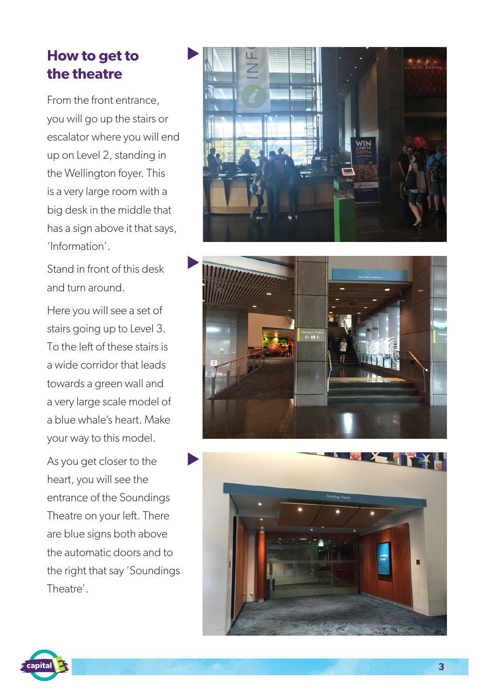#### **How to get to the theatre**

From the front entrance, you will go up the stairs or escalator where you will end up on Level 2, standing in the Wellington foyer. This is a very large room with a big desk in the middle that has a sign above it that says, 'Information'.

Stand in front of this desk and turn around.

Here you will see a set of stairs going up to Level 3. To the left of these stairs is a wide corridor that leads towards a green wall and a very large scale model of a blue whale's heart. Make your way to this model.

As you get closer to the heart, you will see the entrance of the Soundings Theatre on your left. There are blue signs both above the automatic doors and to the right that say 'Soundings Theatre'.







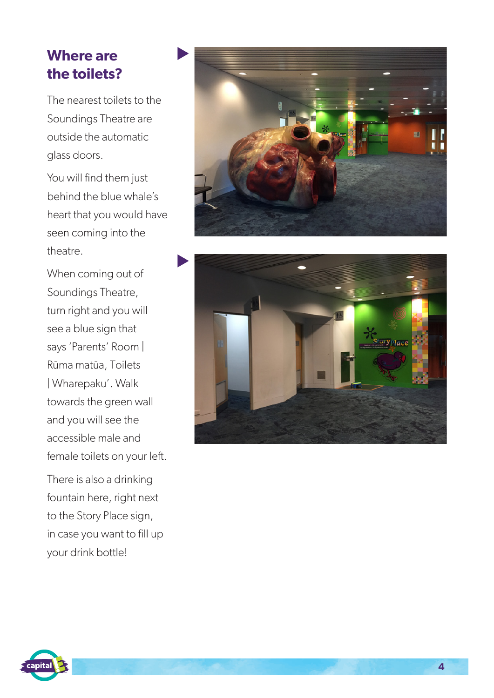#### **Where are the toilets?**

The nearest toilets to the Soundings Theatre are outside the automatic glass doors.

You will find them just behind the blue whale's heart that you would have seen coming into the theatre.

When coming out of Soundings Theatre, turn right and you will see a blue sign that says 'Parents' Room | Rūma matūa, Toilets | Wharepaku'. Walk towards the green wall and you will see the accessible male and female toilets on your left.

There is also a drinking fountain here, right next to the Story Place sign, in case you want to fill up your drink bottle!





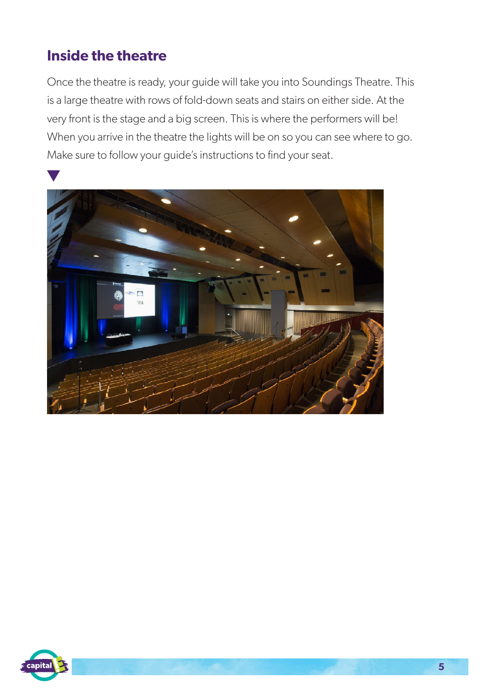#### **Inside the theatre**

Once the theatre is ready, your guide will take you into Soundings Theatre. This is a large theatre with rows of fold-down seats and stairs on either side. At the very front is the stage and a big screen. This is where the performers will be! When you arrive in the theatre the lights will be on so you can see where to go. Make sure to follow your guide's instructions to find your seat.